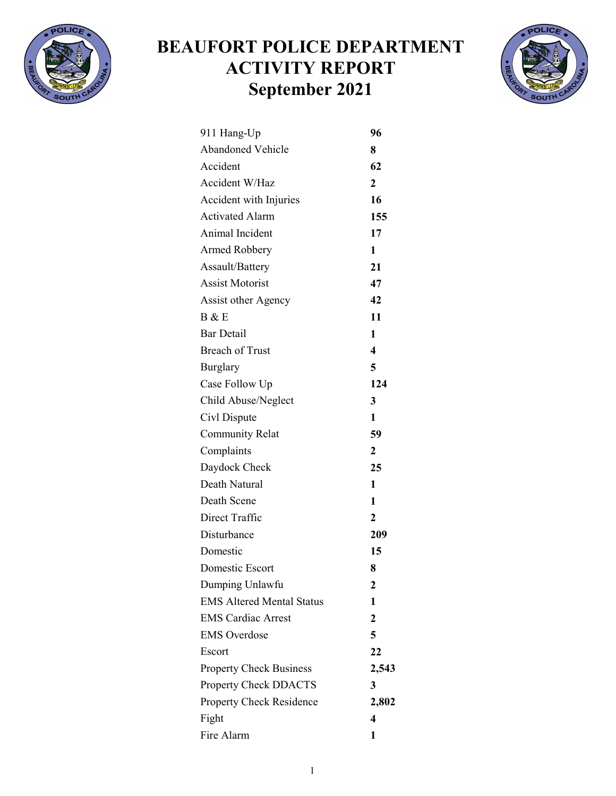

## BEAUFORT POLICE DEPARTMENT ACTIVITY REPORT September 2021



| 911 Hang-Up                      | 96                      |
|----------------------------------|-------------------------|
| <b>Abandoned Vehicle</b>         | 8                       |
| Accident                         | 62                      |
| Accident W/Haz                   | $\overline{2}$          |
| Accident with Injuries           | 16                      |
| <b>Activated Alarm</b>           | 155                     |
| Animal Incident                  | 17                      |
| Armed Robbery                    | 1                       |
| Assault/Battery                  | 21                      |
| <b>Assist Motorist</b>           | 47                      |
| <b>Assist other Agency</b>       | 42                      |
| B & E                            | 11                      |
| <b>Bar Detail</b>                | $\mathbf{1}$            |
| <b>Breach of Trust</b>           | 4                       |
| <b>Burglary</b>                  | 5                       |
| Case Follow Up                   | 124                     |
| Child Abuse/Neglect              | 3                       |
| Civl Dispute                     | $\mathbf{1}$            |
| <b>Community Relat</b>           | 59                      |
| Complaints                       | $\mathbf{2}$            |
| Daydock Check                    | 25                      |
| Death Natural                    | $\mathbf{1}$            |
| Death Scene                      | 1                       |
| Direct Traffic                   | $\overline{2}$          |
| Disturbance                      | 209                     |
| Domestic                         | 15                      |
| Domestic Escort                  | 8                       |
| Dumping Unlawfu                  | $\mathbf{2}$            |
| <b>EMS Altered Mental Status</b> | 1                       |
| <b>EMS Cardiac Arrest</b>        | 2                       |
| <b>EMS</b> Overdose              | 5                       |
| Escort                           | 22                      |
| <b>Property Check Business</b>   | 2,543                   |
| Property Check DDACTS            | 3                       |
| <b>Property Check Residence</b>  | 2,802                   |
| Fight                            | $\overline{\mathbf{4}}$ |
| Fire Alarm                       | $\mathbf{1}$            |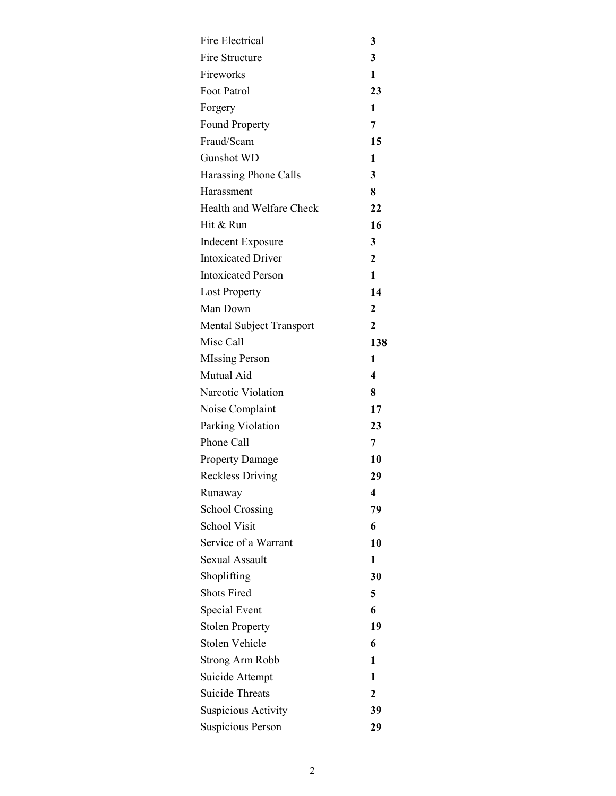| Fire Electrical            | 3              |
|----------------------------|----------------|
| Fire Structure             | 3              |
| Fireworks                  | 1              |
| Foot Patrol                | 23             |
| Forgery                    | 1              |
| <b>Found Property</b>      | 7              |
| Fraud/Scam                 | 15             |
| Gunshot WD                 | 1              |
| Harassing Phone Calls      | 3              |
| Harassment                 | 8              |
| Health and Welfare Check   | 22             |
| Hit & Run                  | 16             |
| <b>Indecent Exposure</b>   | 3              |
| <b>Intoxicated Driver</b>  | $\overline{2}$ |
| <b>Intoxicated Person</b>  | $\mathbf{1}$   |
| <b>Lost Property</b>       | 14             |
| Man Down                   | $\mathbf{2}$   |
| Mental Subject Transport   | $\mathbf 2$    |
| Misc Call                  | 138            |
| <b>MIssing Person</b>      | 1              |
| Mutual Aid                 | 4              |
| Narcotic Violation         | 8              |
| Noise Complaint            | 17             |
| Parking Violation          | 23             |
| Phone Call                 | $\overline{7}$ |
| <b>Property Damage</b>     | 10             |
| <b>Reckless Driving</b>    | 29             |
| Runaway                    | 4              |
| <b>School Crossing</b>     | 79             |
| <b>School Visit</b>        | 6              |
| Service of a Warrant       | 10             |
| Sexual Assault             | 1              |
| Shoplifting                | 30             |
| <b>Shots Fired</b>         | 5              |
| <b>Special Event</b>       | 6              |
| <b>Stolen Property</b>     | 19             |
| <b>Stolen Vehicle</b>      | 6              |
| Strong Arm Robb            | 1              |
| Suicide Attempt            | 1              |
| <b>Suicide Threats</b>     | 2              |
| <b>Suspicious Activity</b> | 39             |
| <b>Suspicious Person</b>   | 29             |